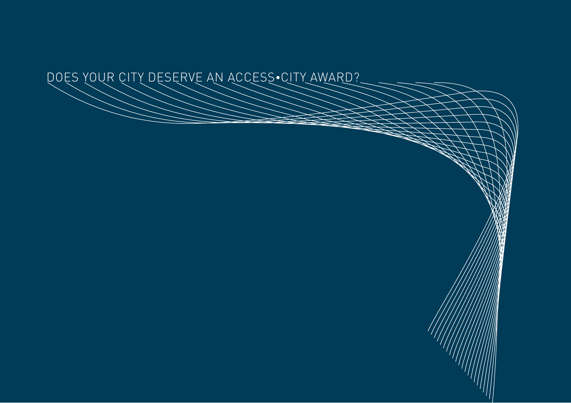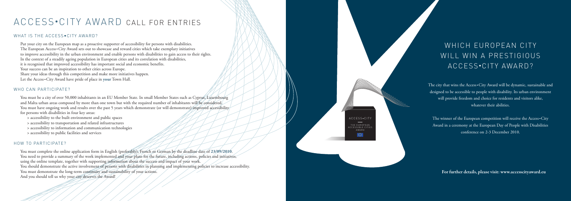## WHICH EUROPEAN CITY WILL WIN A PRESTIGIOUS ACCESS •CITY AWARD?

The city that wins the Access • City Award will be dynamic, sustainable and designed to be accessible to people with disability. Its urban environment will provide freedom and choice for residents and visitors alike, whatever their abilities.

The winner of the European competition will receive the Access • City Award in a ceremony at the European Day of People with Disabilities conference on 2-3 December 2010.

ACCESS •CITY THE EUROPEAN C C E S S I B L E C I T I AWARD

 $\overline{\phantom{m}}$ 

# ACCESS •CITY AWARD CALL FOR ENTRIES

#### WHAT IS THE ACCESS•CITY AWARD?

You must be a city of over 50,000 inhabitants in an EU Member State. In small Member States such as Cyprus, Luxembourg and Malta urban areas composed by more than one town but with the required number of inhabitants will be considered. You must have ongoing work and results over the past 5 years which demonstrate (or will demonstrate) improved accessibility for persons with disabilities in four key areas:

Put your city on the European map as a proactive supporter of accessibility for persons with disabilities. The European Access • City Award sets out to showcase and reward cities which take exemplary initiatives to improve accessibility in the urban environment and enable persons with disabilities to gain access to their rights. In the context of a steadily ageing population in European cities and its correlation with disabilities, it is recognised that improved accessibility has important social and economic benefits. Your success can be an inspiration to other cities across Europe. Share your ideas through this competition and make more initiatives happen. Let the Access • City Award have pride of place in **your** Town Hall.

#### WHO CAN PARTICIPATE?

- > accessibility to the built environment and public spaces
- > accessibility to transportation and related infrastructures
- > accessibility to information and communication technologies
- > accessibility to public facilities and services

#### HOW TO PARTICIPATE?

You must complete the online application form in English (preferably), French or German by the deadline date of **23/09/2010** . You need to provide a summary of the work implemented and your plans for the future, including actions, policies and initiatives, using the online template, together with supporting information about the success and impact of your work. You should demonstrate the active involvement of persons with disabilities in planning and implementing policies to increase accessibility. You must demonstrate the long-term continuity and sustainability of your actions. And you should tell us why your city deserves the Award!

**For further details, please visit: www.accesscityaward.eu**